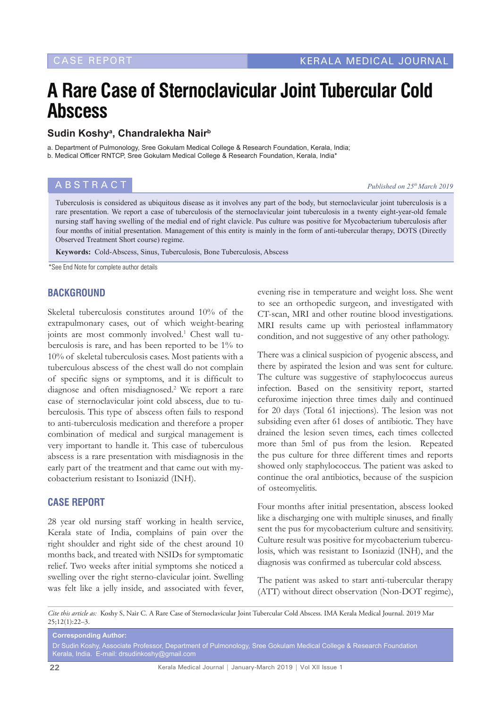# **A Rare Case of Sternoclavicular Joint Tubercular Cold Abscess**

## **Sudin Koshya , Chandralekha Nairb**

a. Department of Pulmonology, Sree Gokulam Medical College & Research Foundation, Kerala, India; b. Medical Officer RNTCP, Sree Gokulam Medical College & Research Foundation, Kerala, India\*

**ABSTRACT** *Published on 25<sup>th</sup> March 2019* 

Tuberculosis is considered as ubiquitous disease as it involves any part of the body, but sternoclavicular joint tuberculosis is a rare presentation. We report a case of tuberculosis of the sternoclavicular joint tuberculosis in a twenty eight-year-old female nursing staff having swelling of the medial end of right clavicle. Pus culture was positive for Mycobacterium tuberculosis after four months of initial presentation. Management of this entity is mainly in the form of anti-tubercular therapy, DOTS (Directly Observed Treatment Short course) regime.

**Keywords:** Cold-Abscess, Sinus, Tuberculosis, Bone Tuberculosis, Abscess

\*See End Note for complete author details

### **BACKGROUND**

Skeletal tuberculosis constitutes around 10% of the extrapulmonary cases, out of which weight-bearing joints are most commonly involved.<sup>1</sup> Chest wall tuberculosis is rare, and has been reported to be 1% to 10% of skeletal tuberculosis cases. Most patients with a tuberculous abscess of the chest wall do not complain of specific signs or symptoms, and it is difficult to diagnose and often misdiagnosed.<sup>2</sup> We report a rare case of sternoclavicular joint cold abscess, due to tuberculosis. This type of abscess often fails to respond to anti-tuberculosis medication and therefore a proper combination of medical and surgical management is very important to handle it. This case of tuberculous abscess is a rare presentation with misdiagnosis in the early part of the treatment and that came out with mycobacterium resistant to Isoniazid (INH).

### **CASE REPORT**

28 year old nursing staff working in health service, Kerala state of India, complains of pain over the right shoulder and right side of the chest around 10 months back, and treated with NSIDs for symptomatic relief. Two weeks after initial symptoms she noticed a swelling over the right sterno-clavicular joint. Swelling was felt like a jelly inside, and associated with fever,

evening rise in temperature and weight loss. She went to see an orthopedic surgeon, and investigated with CT-scan, MRI and other routine blood investigations. MRI results came up with periosteal inflammatory condition, and not suggestive of any other pathology.

There was a clinical suspicion of pyogenic abscess, and there by aspirated the lesion and was sent for culture. The culture was suggestive of staphylococcus aureus infection. Based on the sensitivity report, started cefuroxime injection three times daily and continued for 20 days (Total 61 injections). The lesion was not subsiding even after 61 doses of antibiotic. They have drained the lesion seven times, each times collected more than 5ml of pus from the lesion. Repeated the pus culture for three different times and reports showed only staphylococcus. The patient was asked to continue the oral antibiotics, because of the suspicion of osteomyelitis.

Four months after initial presentation, abscess looked like a discharging one with multiple sinuses, and finally sent the pus for mycobacterium culture and sensitivity. Culture result was positive for mycobacterium tuberculosis, which was resistant to Isoniazid (INH), and the diagnosis was confirmed as tubercular cold abscess.

The patient was asked to start anti-tubercular therapy (ATT) without direct observation (Non-DOT regime),

*Cite this article as:* Koshy S, Nair C. A Rare Case of Sternoclavicular Joint Tubercular Cold Abscess. IMA Kerala Medical Journal. 2019 Mar 25;12(1):22–3.

**Corresponding Author:** Dr Sudin Koshy, Associate Professor, Department of Pulmonology, Sree Gokulam Medical College & Research Foundation Kerala, India. E-mail: drsudinkoshy@gmail.com